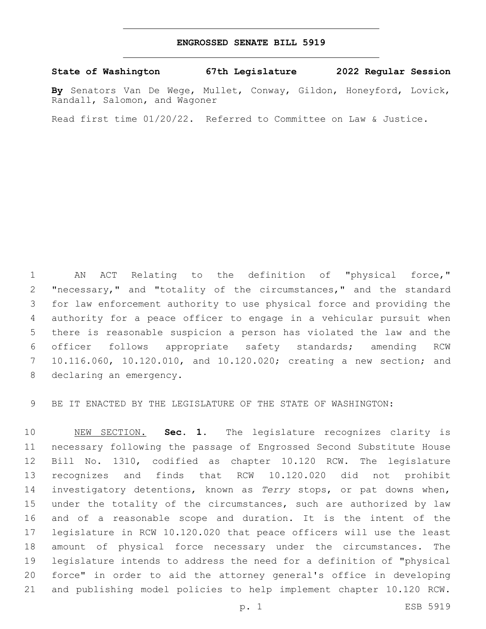## **ENGROSSED SENATE BILL 5919**

**State of Washington 67th Legislature 2022 Regular Session**

**By** Senators Van De Wege, Mullet, Conway, Gildon, Honeyford, Lovick, Randall, Salomon, and Wagoner

Read first time 01/20/22. Referred to Committee on Law & Justice.

 AN ACT Relating to the definition of "physical force," "necessary," and "totality of the circumstances," and the standard for law enforcement authority to use physical force and providing the authority for a peace officer to engage in a vehicular pursuit when there is reasonable suspicion a person has violated the law and the officer follows appropriate safety standards; amending RCW 10.116.060, 10.120.010, and 10.120.020; creating a new section; and 8 declaring an emergency.

BE IT ENACTED BY THE LEGISLATURE OF THE STATE OF WASHINGTON:

 NEW SECTION. **Sec. 1.** The legislature recognizes clarity is necessary following the passage of Engrossed Second Substitute House Bill No. 1310, codified as chapter 10.120 RCW. The legislature recognizes and finds that RCW 10.120.020 did not prohibit investigatory detentions, known as *Terry* stops, or pat downs when, under the totality of the circumstances, such are authorized by law and of a reasonable scope and duration. It is the intent of the legislature in RCW 10.120.020 that peace officers will use the least amount of physical force necessary under the circumstances. The legislature intends to address the need for a definition of "physical force" in order to aid the attorney general's office in developing and publishing model policies to help implement chapter 10.120 RCW.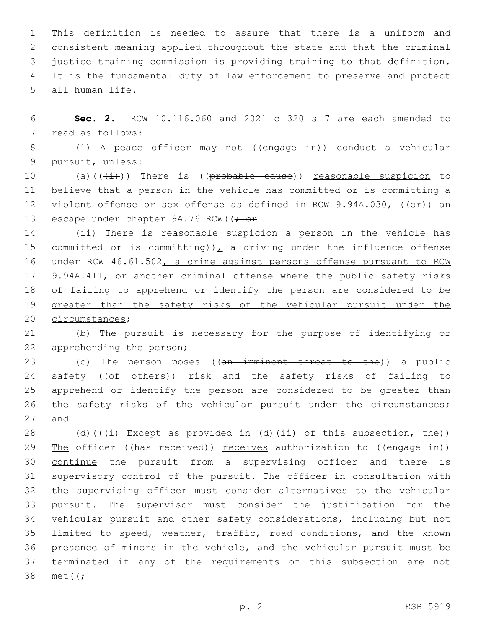This definition is needed to assure that there is a uniform and consistent meaning applied throughout the state and that the criminal justice training commission is providing training to that definition. It is the fundamental duty of law enforcement to preserve and protect 5 all human life.

6 **Sec. 2.** RCW 10.116.060 and 2021 c 320 s 7 are each amended to 7 read as follows:

8 (1) A peace officer may not ((engage in)) conduct a vehicular 9 pursuit, unless:

10 (a)( $(\frac{1}{1})$ ) There is (( $\frac{1}{1}$ ) reasonable suspicion to 11 believe that a person in the vehicle has committed or is committing a 12 violent offense or sex offense as defined in RCW 9.94A.030, ((or)) an 13 escape under chapter  $9A.76$  RCW( $\rightarrow$  or

14 (ii) There is reasonable suspicion a person in the vehicle has 15 committed or is committing)), a driving under the influence offense 16 under RCW 46.61.502, a crime against persons offense pursuant to RCW 17 9.94A.411, or another criminal offense where the public safety risks 18 of failing to apprehend or identify the person are considered to be 19 greater than the safety risks of the vehicular pursuit under the 20 circumstances;

21 (b) The pursuit is necessary for the purpose of identifying or 22 apprehending the person;

23 (c) The person poses ((an imminent threat to the)) a public 24 safety ((of others)) risk and the safety risks of failing to 25 apprehend or identify the person are considered to be greater than 26 the safety risks of the vehicular pursuit under the circumstances; 27 and

28 (d)( $(\frac{1}{i})$  Except as provided in (d)(ii) of this subsection, the)) 29 The officer ((has received)) receives authorization to ((engage in)) continue the pursuit from a supervising officer and there is supervisory control of the pursuit. The officer in consultation with the supervising officer must consider alternatives to the vehicular pursuit. The supervisor must consider the justification for the vehicular pursuit and other safety considerations, including but not limited to speed, weather, traffic, road conditions, and the known presence of minors in the vehicle, and the vehicular pursuit must be terminated if any of the requirements of this subsection are not 38 met((<del>;</del>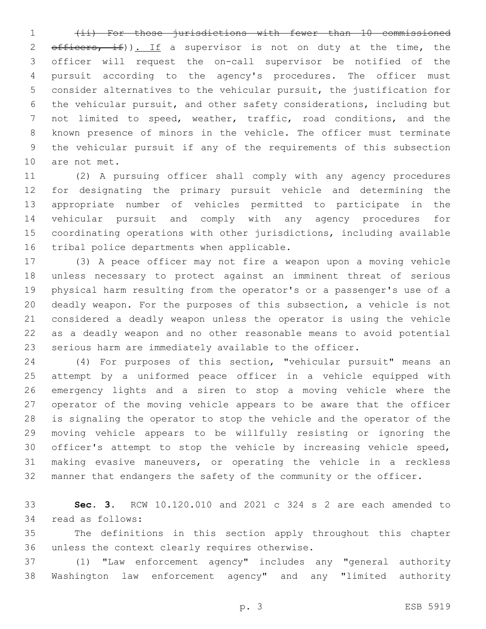(ii) For those jurisdictions with fewer than 10 commissioned  $\text{eff}$   $\text{eff}$   $\text{eff}$   $\text{eff}$   $\text{eff}$   $\text{eff}$   $\text{eff}$   $\text{eff}$   $\text{eff}$   $\text{eff}$   $\text{eff}$   $\text{eff}$   $\text{eff}$   $\text{eff}$   $\text{eff}$   $\text{eff}$   $\text{eff}$   $\text{eff}$   $\text{eff}$   $\text{eff}$   $\text{eff}$   $\text{eff}$   $\text{eff}$   $\text{eff}$   $\text{eff}$   $\text{eff}$   $\text{eff}$   $\text$  officer will request the on-call supervisor be notified of the pursuit according to the agency's procedures. The officer must consider alternatives to the vehicular pursuit, the justification for the vehicular pursuit, and other safety considerations, including but not limited to speed, weather, traffic, road conditions, and the known presence of minors in the vehicle. The officer must terminate the vehicular pursuit if any of the requirements of this subsection 10 are not met.

 (2) A pursuing officer shall comply with any agency procedures for designating the primary pursuit vehicle and determining the appropriate number of vehicles permitted to participate in the vehicular pursuit and comply with any agency procedures for coordinating operations with other jurisdictions, including available 16 tribal police departments when applicable.

 (3) A peace officer may not fire a weapon upon a moving vehicle unless necessary to protect against an imminent threat of serious physical harm resulting from the operator's or a passenger's use of a deadly weapon. For the purposes of this subsection, a vehicle is not considered a deadly weapon unless the operator is using the vehicle as a deadly weapon and no other reasonable means to avoid potential serious harm are immediately available to the officer.

 (4) For purposes of this section, "vehicular pursuit" means an attempt by a uniformed peace officer in a vehicle equipped with emergency lights and a siren to stop a moving vehicle where the operator of the moving vehicle appears to be aware that the officer is signaling the operator to stop the vehicle and the operator of the moving vehicle appears to be willfully resisting or ignoring the officer's attempt to stop the vehicle by increasing vehicle speed, making evasive maneuvers, or operating the vehicle in a reckless manner that endangers the safety of the community or the officer.

 **Sec. 3.** RCW 10.120.010 and 2021 c 324 s 2 are each amended to 34 read as follows:

 The definitions in this section apply throughout this chapter 36 unless the context clearly requires otherwise.

 (1) "Law enforcement agency" includes any "general authority Washington law enforcement agency" and any "limited authority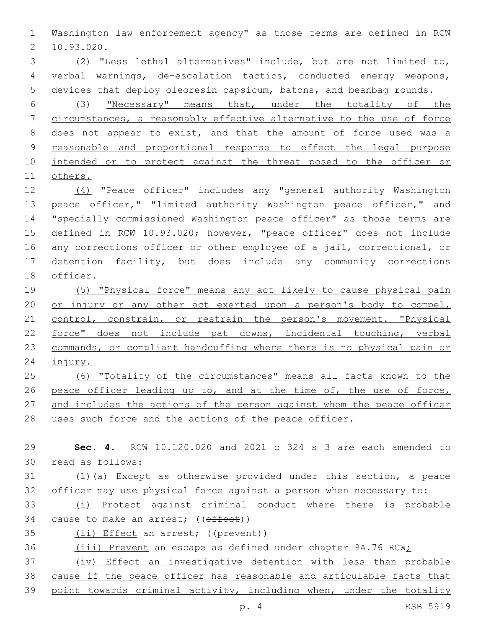Washington law enforcement agency" as those terms are defined in RCW 10.93.020.2

 (2) "Less lethal alternatives" include, but are not limited to, verbal warnings, de-escalation tactics, conducted energy weapons, devices that deploy oleoresin capsicum, batons, and beanbag rounds.

 (3) "Necessary" means that, under the totality of the circumstances, a reasonably effective alternative to the use of force does not appear to exist, and that the amount of force used was a reasonable and proportional response to effect the legal purpose 10 intended or to protect against the threat posed to the officer or others.

 (4) "Peace officer" includes any "general authority Washington 13 peace officer," "limited authority Washington peace officer," and "specially commissioned Washington peace officer" as those terms are defined in RCW 10.93.020; however, "peace officer" does not include any corrections officer or other employee of a jail, correctional, or detention facility, but does include any community corrections 18 officer.

 (5) "Physical force" means any act likely to cause physical pain 20 or injury or any other act exerted upon a person's body to compel, 21 control, constrain, or restrain the person's movement. "Physical force" does not include pat downs, incidental touching, verbal commands, or compliant handcuffing where there is no physical pain or injury.

 (6) "Totality of the circumstances" means all facts known to the 26 peace officer leading up to, and at the time of, the use of force, 27 and includes the actions of the person against whom the peace officer 28 uses such force and the actions of the peace officer.

 **Sec. 4.** RCW 10.120.020 and 2021 c 324 s 3 are each amended to read as follows:30 (1)(a) Except as otherwise provided under this section, a peace officer may use physical force against a person when necessary to: (i) Protect against criminal conduct where there is probable 34 cause to make an arrest; ((effect)) 35 (ii) Effect an arrest; ((prevent)) 36 (iii) Prevent an escape as defined under chapter 9A.76 RCW; (iv) Effect an investigative detention with less than probable cause if the peace officer has reasonable and articulable facts that

point towards criminal activity, including when, under the totality

p. 4 ESB 5919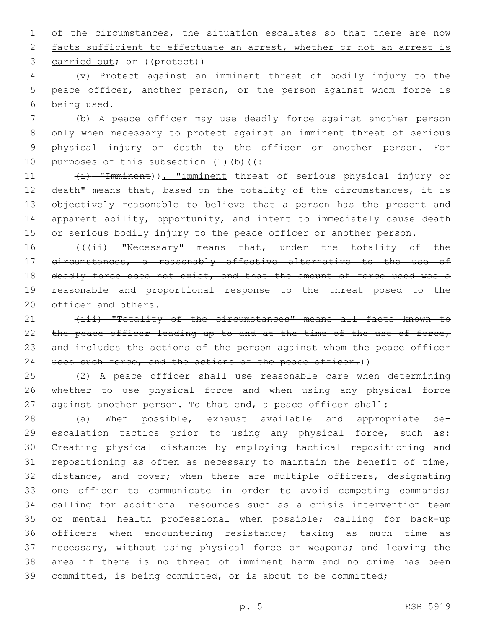1 of the circumstances, the situation escalates so that there are now 2 facts sufficient to effectuate an arrest, whether or not an arrest is 3 carried out; or ((protect))

4 (v) Protect against an imminent threat of bodily injury to the 5 peace officer, another person, or the person against whom force is being used.6

 (b) A peace officer may use deadly force against another person only when necessary to protect against an imminent threat of serious physical injury or death to the officer or another person. For 10 purposes of this subsection  $(1)$  (b) ( $($ 

11 (i) "Imminent)), "imminent threat of serious physical injury or 12 death" means that, based on the totality of the circumstances, it is 13 objectively reasonable to believe that a person has the present and 14 apparent ability, opportunity, and intent to immediately cause death 15 or serious bodily injury to the peace officer or another person.

16 (((ii) "Necessary" means that, under the totality of the 17 circumstances, a reasonably effective alternative to the use of 18 deadly force does not exist, and that the amount of force used was a 19 reasonable and proportional response to the threat posed to the 20 officer and others.

21 (iii) "Totality of the circumstances" means all facts known to 22 the peace officer leading up to and at the time of the use of force, 23 and includes the actions of the person against whom the peace officer 24 uses such force, and the actions of the peace officer.))

25 (2) A peace officer shall use reasonable care when determining 26 whether to use physical force and when using any physical force 27 against another person. To that end, a peace officer shall:

 (a) When possible, exhaust available and appropriate de-29 escalation tactics prior to using any physical force, such as: Creating physical distance by employing tactical repositioning and repositioning as often as necessary to maintain the benefit of time, distance, and cover; when there are multiple officers, designating 33 one officer to communicate in order to avoid competing commands; calling for additional resources such as a crisis intervention team or mental health professional when possible; calling for back-up officers when encountering resistance; taking as much time as necessary, without using physical force or weapons; and leaving the area if there is no threat of imminent harm and no crime has been committed, is being committed, or is about to be committed;